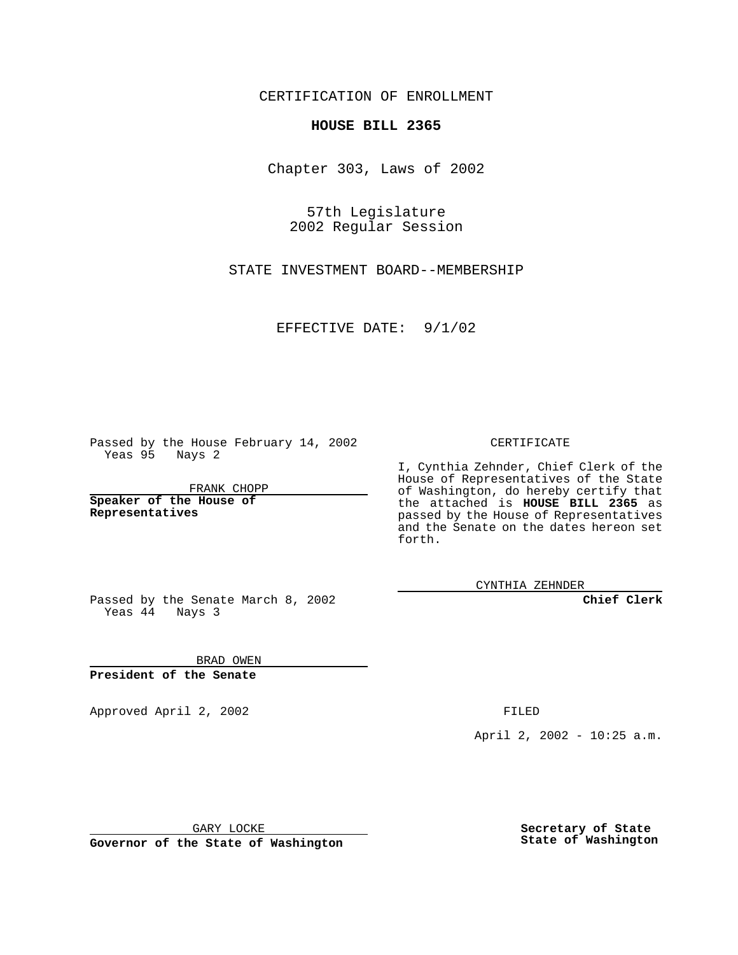CERTIFICATION OF ENROLLMENT

## **HOUSE BILL 2365**

Chapter 303, Laws of 2002

57th Legislature 2002 Regular Session

STATE INVESTMENT BOARD--MEMBERSHIP

EFFECTIVE DATE: 9/1/02

Passed by the House February 14, 2002 Yeas 95 Nays 2

FRANK CHOPP

**Speaker of the House of Representatives**

CERTIFICATE

I, Cynthia Zehnder, Chief Clerk of the House of Representatives of the State of Washington, do hereby certify that the attached is **HOUSE BILL 2365** as passed by the House of Representatives and the Senate on the dates hereon set forth.

CYNTHIA ZEHNDER

**Chief Clerk**

Passed by the Senate March 8, 2002 Yeas  $4\overline{4}$  Nays 3

BRAD OWEN **President of the Senate**

Approved April 2, 2002 **FILED** 

April 2, 2002 - 10:25 a.m.

GARY LOCKE

**Governor of the State of Washington**

**Secretary of State State of Washington**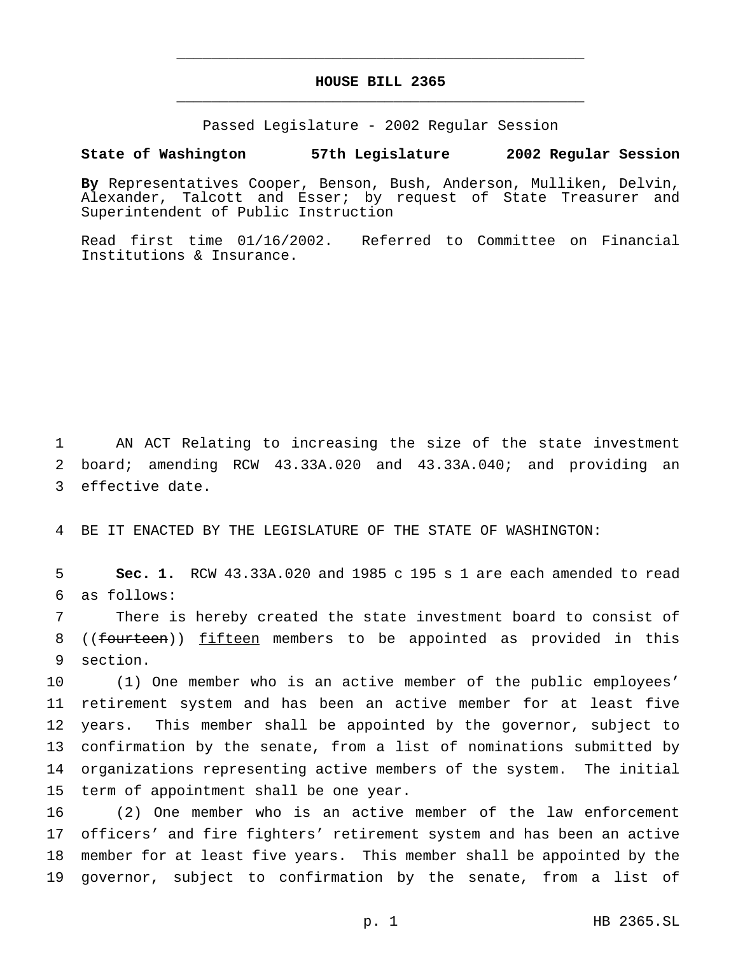## **HOUSE BILL 2365** \_\_\_\_\_\_\_\_\_\_\_\_\_\_\_\_\_\_\_\_\_\_\_\_\_\_\_\_\_\_\_\_\_\_\_\_\_\_\_\_\_\_\_\_\_\_\_

\_\_\_\_\_\_\_\_\_\_\_\_\_\_\_\_\_\_\_\_\_\_\_\_\_\_\_\_\_\_\_\_\_\_\_\_\_\_\_\_\_\_\_\_\_\_\_

Passed Legislature - 2002 Regular Session

## **State of Washington 57th Legislature 2002 Regular Session**

**By** Representatives Cooper, Benson, Bush, Anderson, Mulliken, Delvin, Alexander, Talcott and Esser; by request of State Treasurer and Superintendent of Public Instruction

Read first time 01/16/2002. Referred to Committee on Financial Institutions & Insurance.

1 AN ACT Relating to increasing the size of the state investment 2 board; amending RCW 43.33A.020 and 43.33A.040; and providing an 3 effective date.

4 BE IT ENACTED BY THE LEGISLATURE OF THE STATE OF WASHINGTON:

5 **Sec. 1.** RCW 43.33A.020 and 1985 c 195 s 1 are each amended to read 6 as follows:

7 There is hereby created the state investment board to consist of 8 ((fourteen)) fifteen members to be appointed as provided in this 9 section.

 (1) One member who is an active member of the public employees' retirement system and has been an active member for at least five years. This member shall be appointed by the governor, subject to confirmation by the senate, from a list of nominations submitted by organizations representing active members of the system. The initial term of appointment shall be one year.

 (2) One member who is an active member of the law enforcement officers' and fire fighters' retirement system and has been an active member for at least five years. This member shall be appointed by the governor, subject to confirmation by the senate, from a list of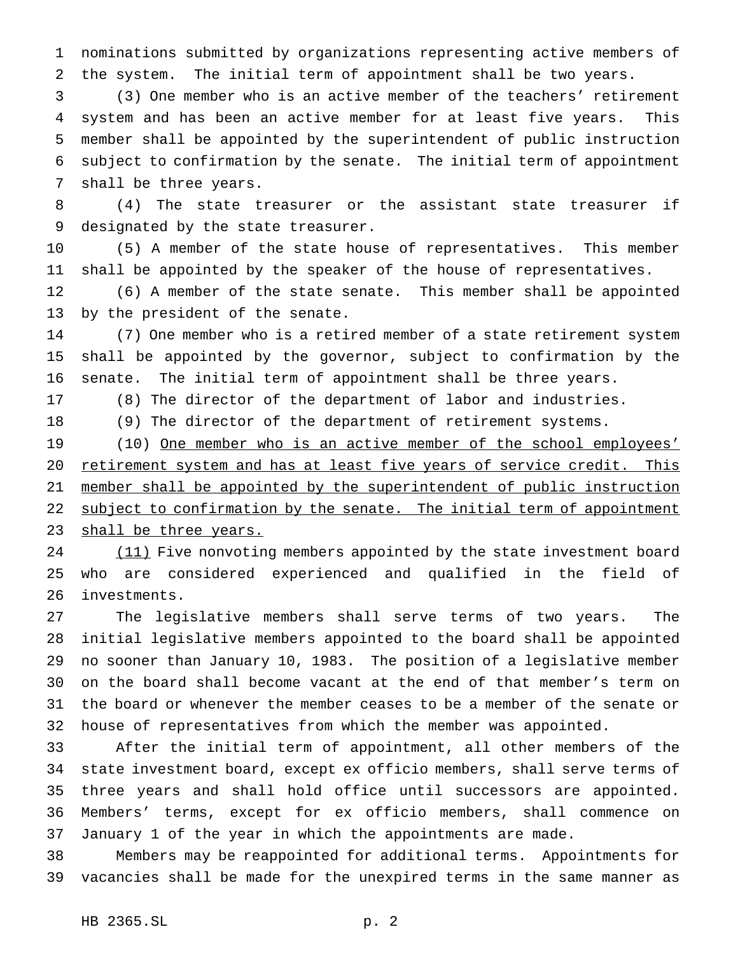nominations submitted by organizations representing active members of the system. The initial term of appointment shall be two years.

 (3) One member who is an active member of the teachers' retirement system and has been an active member for at least five years. This member shall be appointed by the superintendent of public instruction subject to confirmation by the senate. The initial term of appointment shall be three years.

 (4) The state treasurer or the assistant state treasurer if designated by the state treasurer.

 (5) A member of the state house of representatives. This member shall be appointed by the speaker of the house of representatives.

 (6) A member of the state senate. This member shall be appointed by the president of the senate.

 (7) One member who is a retired member of a state retirement system shall be appointed by the governor, subject to confirmation by the senate. The initial term of appointment shall be three years.

(8) The director of the department of labor and industries.

(9) The director of the department of retirement systems.

19 (10) One member who is an active member of the school employees' retirement system and has at least five years of service credit. This member shall be appointed by the superintendent of public instruction 22 subject to confirmation by the senate. The initial term of appointment 23 shall be three years.

24 (11) Five nonvoting members appointed by the state investment board who are considered experienced and qualified in the field of investments.

 The legislative members shall serve terms of two years. The initial legislative members appointed to the board shall be appointed no sooner than January 10, 1983. The position of a legislative member on the board shall become vacant at the end of that member's term on the board or whenever the member ceases to be a member of the senate or house of representatives from which the member was appointed.

 After the initial term of appointment, all other members of the state investment board, except ex officio members, shall serve terms of three years and shall hold office until successors are appointed. Members' terms, except for ex officio members, shall commence on January 1 of the year in which the appointments are made.

 Members may be reappointed for additional terms. Appointments for vacancies shall be made for the unexpired terms in the same manner as